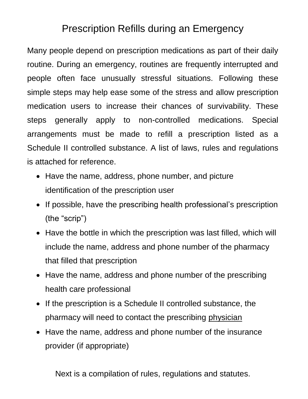### Prescription Refills during an Emergency

Many people depend on prescription medications as part of their daily routine. During an emergency, routines are frequently interrupted and people often face unusually stressful situations. Following these simple steps may help ease some of the stress and allow prescription medication users to increase their chances of survivability. These steps generally apply to non-controlled medications. Special arrangements must be made to refill a prescription listed as a Schedule II controlled substance. A list of laws, rules and regulations is attached for reference.

- Have the name, address, phone number, and picture identification of the prescription user
- If possible, have the prescribing health professional's prescription (the "scrip")
- Have the bottle in which the prescription was last filled, which will include the name, address and phone number of the pharmacy that filled that prescription
- Have the name, address and phone number of the prescribing health care professional
- If the prescription is a Schedule II controlled substance, the pharmacy will need to contact the prescribing physician
- Have the name, address and phone number of the insurance provider (if appropriate)

Next is a compilation of rules, regulations and statutes.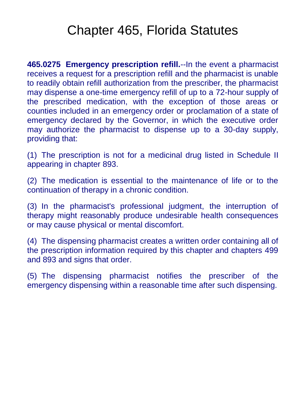# Chapter 465, Florida Statutes

**465.0275 Emergency prescription refill.**--In the event a pharmacist receives a request for a prescription refill and the pharmacist is unable to readily obtain refill authorization from the prescriber, the pharmacist may dispense a one-time emergency refill of up to a 72-hour supply of the prescribed medication, with the exception of those areas or counties included in an emergency order or proclamation of a state of emergency declared by the Governor, in which the executive order may authorize the pharmacist to dispense up to a 30-day supply, providing that:

(1) The prescription is not for a medicinal drug listed in Schedule II appearing in chapter 893.

(2) The medication is essential to the maintenance of life or to the continuation of therapy in a chronic condition.

(3) In the pharmacist's professional judgment, the interruption of therapy might reasonably produce undesirable health consequences or may cause physical or mental discomfort.

(4) The dispensing pharmacist creates a written order containing all of the prescription information required by this chapter and chapters 499 and 893 and signs that order.

(5) The dispensing pharmacist notifies the prescriber of the emergency dispensing within a reasonable time after such dispensing.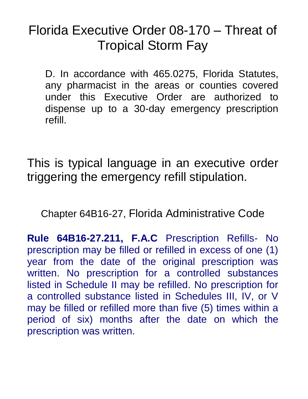# Florida Executive Order 08-170 – Threat of Tropical Storm Fay

D. In accordance with 465.0275, Florida Statutes, any pharmacist in the areas or counties covered under this Executive Order are authorized to dispense up to a 30-day emergency prescription refill.

This is typical language in an executive order triggering the emergency refill stipulation.

Chapter 64B16-27, Florida Administrative Code

**Rule 64B16-27.211, F.A.C** Prescription Refills- No prescription may be filled or refilled in excess of one (1) year from the date of the original prescription was written. No prescription for a controlled substances listed in Schedule II may be refilled. No prescription for a controlled substance listed in Schedules III, IV, or V may be filled or refilled more than five (5) times within a period of six) months after the date on which the prescription was written.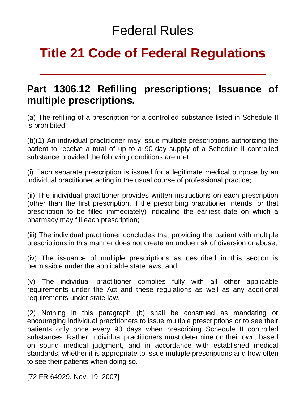## Federal Rules

# **Title 21 Code of Federal Regulations**

#### **Part 1306.12 Refilling prescriptions; Issuance of multiple prescriptions.**

(a) The refilling of a prescription for a controlled substance listed in Schedule II is prohibited.

(b)(1) An individual practitioner may issue multiple prescriptions authorizing the patient to receive a total of up to a 90-day supply of a Schedule II controlled substance provided the following conditions are met:

(i) Each separate prescription is issued for a legitimate medical purpose by an individual practitioner acting in the usual course of professional practice;

(ii) The individual practitioner provides written instructions on each prescription (other than the first prescription, if the prescribing practitioner intends for that prescription to be filled immediately) indicating the earliest date on which a pharmacy may fill each prescription;

(iii) The individual practitioner concludes that providing the patient with multiple prescriptions in this manner does not create an undue risk of diversion or abuse;

(iv) The issuance of multiple prescriptions as described in this section is permissible under the applicable state laws; and

(v) The individual practitioner complies fully with all other applicable requirements under the Act and these regulations as well as any additional requirements under state law.

(2) Nothing in this paragraph (b) shall be construed as mandating or encouraging individual practitioners to issue multiple prescriptions or to see their patients only once every 90 days when prescribing Schedule II controlled substances. Rather, individual practitioners must determine on their own, based on sound medical judgment, and in accordance with established medical standards, whether it is appropriate to issue multiple prescriptions and how often to see their patients when doing so.

[72 FR 64929, Nov. 19, 2007]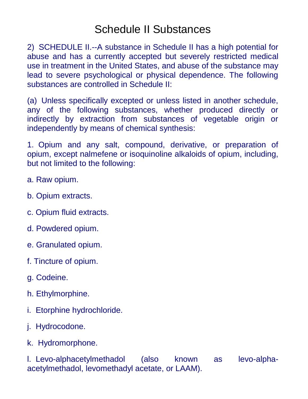### Schedule II Substances

2) SCHEDULE II.--A substance in Schedule II has a high potential for abuse and has a currently accepted but severely restricted medical use in treatment in the United States, and abuse of the substance may lead to severe psychological or physical dependence. The following substances are controlled in Schedule II:

(a) Unless specifically excepted or unless listed in another schedule, any of the following substances, whether produced directly or indirectly by extraction from substances of vegetable origin or independently by means of chemical synthesis:

1. Opium and any salt, compound, derivative, or preparation of opium, except nalmefene or isoquinoline alkaloids of opium, including, but not limited to the following:

- a. Raw opium.
- b. Opium extracts.
- c. Opium fluid extracts.
- d. Powdered opium.
- e. Granulated opium.
- f. Tincture of opium.
- g. Codeine.
- h. Ethylmorphine.
- i. Etorphine hydrochloride.
- j. Hydrocodone.
- k. Hydromorphone.

l. Levo-alphacetylmethadol (also known as levo-alphaacetylmethadol, levomethadyl acetate, or LAAM).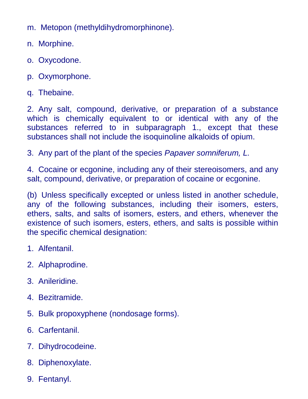m. Metopon (methyldihydromorphinone).

- n. Morphine.
- o. Oxycodone.
- p. Oxymorphone.
- q. Thebaine.

2. Any salt, compound, derivative, or preparation of a substance which is chemically equivalent to or identical with any of the substances referred to in subparagraph 1., except that these substances shall not include the isoquinoline alkaloids of opium.

3. Any part of the plant of the species *Papaver somniferum, L.*

4. Cocaine or ecgonine, including any of their stereoisomers, and any salt, compound, derivative, or preparation of cocaine or ecgonine.

(b) Unless specifically excepted or unless listed in another schedule, any of the following substances, including their isomers, esters, ethers, salts, and salts of isomers, esters, and ethers, whenever the existence of such isomers, esters, ethers, and salts is possible within the specific chemical designation:

- 1. Alfentanil.
- 2. Alphaprodine.
- 3. Anileridine.
- 4. Bezitramide.
- 5. Bulk propoxyphene (nondosage forms).
- 6. Carfentanil.
- 7. Dihydrocodeine.
- 8. Diphenoxylate.
- 9. Fentanyl.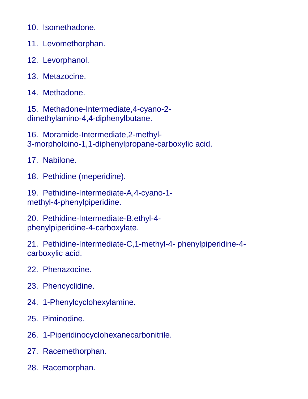10. Isomethadone.

- 11. Levomethorphan.
- 12. Levorphanol.
- 13. Metazocine.
- 14. Methadone.

15. Methadone-Intermediate,4-cyano-2 dimethylamino-4,4-diphenylbutane.

16. Moramide-Intermediate,2-methyl-3-morpholoino-1,1-diphenylpropane-carboxylic acid.

17. Nabilone.

18. Pethidine (meperidine).

19. Pethidine-Intermediate-A,4-cyano-1 methyl-4-phenylpiperidine.

20. Pethidine-Intermediate-B,ethyl-4 phenylpiperidine-4-carboxylate.

21. Pethidine-Intermediate-C,1-methyl-4- phenylpiperidine-4 carboxylic acid.

- 22. Phenazocine.
- 23. Phencyclidine.
- 24. 1-Phenylcyclohexylamine.
- 25. Piminodine.
- 26. 1-Piperidinocyclohexanecarbonitrile.
- 27. Racemethorphan.
- 28. Racemorphan.